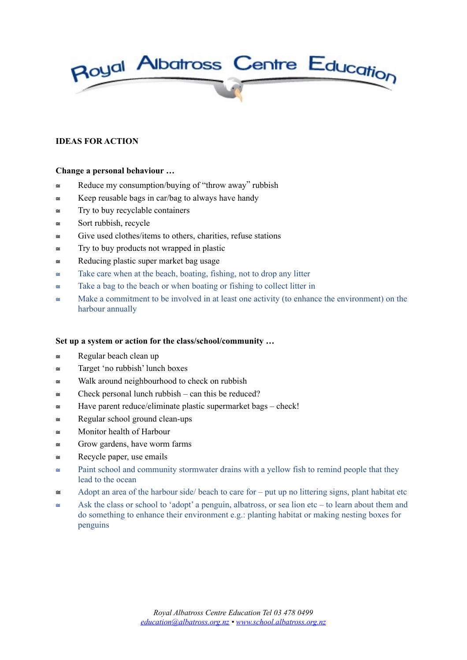

# **IDEAS FOR ACTION**

### **Change a personal behaviour …**

- $\approx$  Reduce my consumption/buying of "throw away" rubbish
- $\approx$  Keep reusable bags in car/bag to always have handy
- $\equiv$  Try to buy recyclable containers
- $\approx$  Sort rubbish, recycle
- $\approx$  Give used clothes/items to others, charities, refuse stations
- $\approx$  Try to buy products not wrapped in plastic
- $\approx$  Reducing plastic super market bag usage
- $\approx$  Take care when at the beach, boating, fishing, not to drop any litter
- $\approx$  Take a bag to the beach or when boating or fishing to collect litter in
- $\approx$  Make a commitment to be involved in at least one activity (to enhance the environment) on the harbour annually

### **Set up a system or action for the class/school/community …**

- $\approx$  Regular beach clean up
- $\equiv$  Target 'no rubbish' lunch boxes
- $\approx$  Walk around neighbourhood to check on rubbish
- $\approx$  Check personal lunch rubbish can this be reduced?
- $\equiv$  Have parent reduce/eliminate plastic supermarket bags check!
- $\approx$  Regular school ground clean-ups
- $\approx$  Monitor health of Harbour
- $\approx$  Grow gardens, have worm farms
- $\equiv$  Recycle paper, use emails
- $\approx$  Paint school and community stormwater drains with a yellow fish to remind people that they lead to the ocean
- $\cong$  Adopt an area of the harbour side/ beach to care for put up no littering signs, plant habitat etc
- $\approx$  Ask the class or school to 'adopt' a penguin, albatross, or sea lion etc to learn about them and do something to enhance their environment e.g.: planting habitat or making nesting boxes for penguins